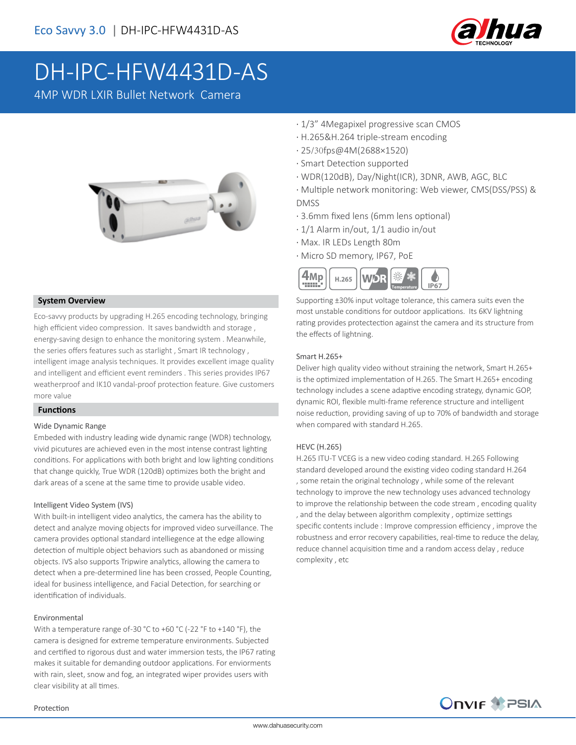

# DH-IPC-HFW4431D-AS

4MP WDR LXIR Bullet Network Camera



### **System Overview**

Eco-savvy products by upgrading H.265 encoding technology, bringing high efficient video compression. It saves bandwidth and storage , energy-saving design to enhance the monitoring system . Meanwhile, the series offers features such as starlight , Smart IR technology , intelligent image analysis techniques. It provides excellent image quality and intelligent and efficient event reminders . This series provides IP67 weatherproof and IK10 vandal-proof protection feature. Give customers more value

### **Functions**

### Wide Dynamic Range

Embeded with industry leading wide dynamic range (WDR) technology, vivid picutures are achieved even in the most intense contrast lighting conditions. For applications with both bright and low lighting conditions that change quickly, True WDR (120dB) optimizes both the bright and dark areas of a scene at the same time to provide usable video.

### Intelligent Video System (IVS)

With built-in intelligent video analytics, the camera has the ability to detect and analyze moving objects for improved video surveillance. The camera provides optional standard intelliegence at the edge allowing detection of multiple object behaviors such as abandoned or missing objects. IVS also supports Tripwire analytics, allowing the camera to detect when a pre-determined line has been crossed, People Counting, ideal for business intelligence, and Facial Detection, for searching or identification of individuals.

#### Environmental

With a temperature range of-30 °C to +60 °C (-22 °F to +140 °F), the camera is designed for extreme temperature environments. Subjected and certified to rigorous dust and water immersion tests, the IP67 rating makes it suitable for demanding outdoor applications. For enviorments with rain, sleet, snow and fog, an integrated wiper provides users with clear visibility at all times.

- · 1/3" 4Megapixel progressive scan CMOS
- · H.265&H.264 triple-stream encoding
- · 25/30fps@4M(2688×1520)
- · Smart Detection supported
- · WDR(120dB), Day/Night(ICR), 3DNR, AWB, AGC, BLC
- · Multiple network monitoring: Web viewer, CMS(DSS/PSS) & DMSS
- · 3.6mm fixed lens (6mm lens optional)
- · 1/1 Alarm in/out, 1/1 audio in/out
- · Max. IR LEDs Length 80m
- · Micro SD memory, IP67, PoE



Supporting ±30% input voltage tolerance, this camera suits even the most unstable conditions for outdoor applications. Its 6KV lightning rating provides protectection against the camera and its structure from the effects of lightning.

#### Smart H.265+

Deliver high quality video without straining the network, Smart H.265+ is the optimized implementation of H.265. The Smart H.265+ encoding technology includes a scene adaptive encoding strategy, dynamic GOP, dynamic ROI, flexible multi-frame reference structure and intelligent noise reduction, providing saving of up to 70% of bandwidth and storage when compared with standard H.265.

### HEVC (H.265)

H.265 ITU-T VCEG is a new video coding standard. H.265 Following standard developed around the existing video coding standard H.264 , some retain the original technology , while some of the relevant technology to improve the new technology uses advanced technology to improve the relationship between the code stream , encoding quality , and the delay between algorithm complexity , optimize settings specific contents include : Improve compression efficiency , improve the robustness and error recovery capabilities, real-time to reduce the delay, reduce channel acquisition time and a random access delay , reduce complexity , etc

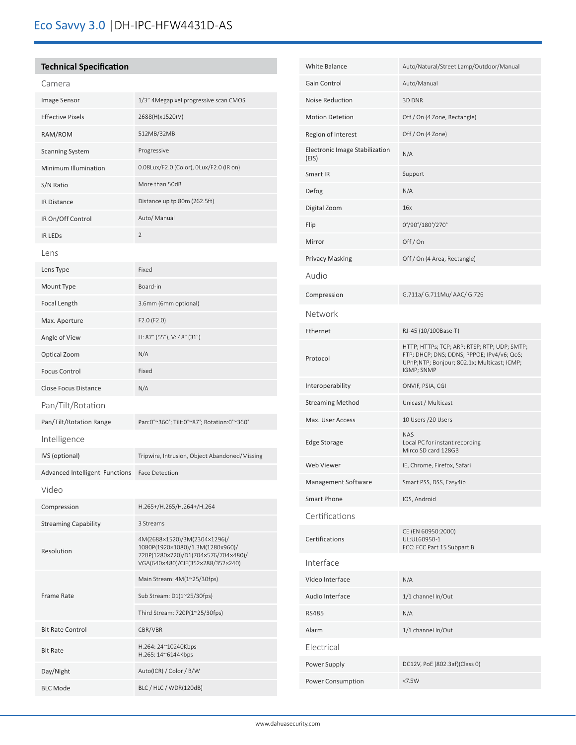## Eco Savvy 3.0 |DH-IPC-HFW4431D-AS

### **Technical Specification**

| Camera                         |                                                                                                                                              |
|--------------------------------|----------------------------------------------------------------------------------------------------------------------------------------------|
| Image Sensor                   | 1/3" 4Megapixel progressive scan CMOS                                                                                                        |
| <b>Effective Pixels</b>        | 2688(H)x1520(V)                                                                                                                              |
| RAM/ROM                        | 512MB/32MB                                                                                                                                   |
| <b>Scanning System</b>         | Progressive                                                                                                                                  |
| Minimum Illumination           | 0.08Lux/F2.0 (Color), 0Lux/F2.0 (IR on)                                                                                                      |
| S/N Ratio                      | More than 50dB                                                                                                                               |
| <b>IR Distance</b>             | Distance up tp 80m (262.5ft)                                                                                                                 |
| IR On/Off Control              | Auto/ Manual                                                                                                                                 |
| <b>IR LEDS</b>                 | $\overline{2}$                                                                                                                               |
| Lens                           |                                                                                                                                              |
| Lens Type                      | Fixed                                                                                                                                        |
| Mount Type                     | Board-in                                                                                                                                     |
| Focal Length                   | 3.6mm (6mm optional)                                                                                                                         |
| Max. Aperture                  | F2.0 (F2.0)                                                                                                                                  |
| Angle of View                  | H: 87° (55°), V: 48° (31°)                                                                                                                   |
| Optical Zoom                   | N/A                                                                                                                                          |
| <b>Focus Control</b>           | Fixed                                                                                                                                        |
| <b>Close Focus Distance</b>    | N/A                                                                                                                                          |
| Pan/Tilt/Rotation              |                                                                                                                                              |
| Pan/Tilt/Rotation Range        | Pan:0°~360°; Tilt:0°~87°; Rotation:0°~360°                                                                                                   |
| Intelligence                   |                                                                                                                                              |
| IVS (optional)                 | Tripwire, Intrusion, Object Abandoned/Missing                                                                                                |
| Advanced Intelligent Functions | <b>Face Detection</b>                                                                                                                        |
| Video                          |                                                                                                                                              |
| Compression                    | H.265+/H.265/H.264+/H.264                                                                                                                    |
| <b>Streaming Capability</b>    | 3 Streams                                                                                                                                    |
| Resolution                     | 4M(2688×1520)/3M(2304×1296)/<br>1080P(1920×1080)/1.3M(1280x960)/<br>720P(1280×720)/D1(704×576/704×480)/<br>VGA(640×480)/CIF(352×288/352×240) |
| <b>Frame Rate</b>              | Main Stream: 4M(1~25/30fps)                                                                                                                  |
|                                | Sub Stream: D1(1~25/30fps)                                                                                                                   |
|                                | Third Stream: 720P(1~25/30fps)                                                                                                               |
| <b>Bit Rate Control</b>        | CBR/VBR                                                                                                                                      |
| <b>Bit Rate</b>                | H.264: 24~10240Kbps<br>H.265: 14~6144Kbps                                                                                                    |
| Day/Night                      | Auto(ICR) / Color / B/W                                                                                                                      |
| <b>BLC Mode</b>                | BLC / HLC / WDR(120dB)                                                                                                                       |

| White Balance                                  | Auto/Natural/Street Lamp/Outdoor/Manual                                                                                                                 |
|------------------------------------------------|---------------------------------------------------------------------------------------------------------------------------------------------------------|
| Gain Control                                   | Auto/Manual                                                                                                                                             |
| Noise Reduction                                | 3D DNR                                                                                                                                                  |
| <b>Motion Detetion</b>                         | Off / On (4 Zone, Rectangle)                                                                                                                            |
| Region of Interest                             | Off / On (4 Zone)                                                                                                                                       |
| <b>Electronic Image Stabilization</b><br>(EIS) | N/A                                                                                                                                                     |
| Smart IR                                       | Support                                                                                                                                                 |
| Defog                                          | N/A                                                                                                                                                     |
| Digital Zoom                                   | 16x                                                                                                                                                     |
| Flip                                           | 0°/90°/180°/270°                                                                                                                                        |
| Mirror                                         | Off/On                                                                                                                                                  |
| <b>Privacy Masking</b>                         | Off / On (4 Area, Rectangle)                                                                                                                            |
| Audio                                          |                                                                                                                                                         |
| Compression                                    | G.711a/ G.711Mu/ AAC/ G.726                                                                                                                             |
| Network                                        |                                                                                                                                                         |
| Ethernet                                       | RJ-45 (10/100Base-T)                                                                                                                                    |
| Protocol                                       | HTTP; HTTPs; TCP; ARP; RTSP; RTP; UDP; SMTP;<br>FTP; DHCP; DNS; DDNS; PPPOE; IPv4/v6; QoS;<br>UPnP;NTP; Bonjour; 802.1x; Multicast; ICMP;<br>IGMP; SNMP |
| Interoperability                               | ONVIF, PSIA, CGI                                                                                                                                        |
| <b>Streaming Method</b>                        | Unicast / Multicast                                                                                                                                     |
| Max. User Access                               | 10 Users / 20 Users                                                                                                                                     |
| <b>Edge Storage</b>                            | <b>NAS</b><br>Local PC for instant recording<br>Mirco SD card 128GB                                                                                     |
| Web Viewer                                     | IE, Chrome, Firefox, Safari                                                                                                                             |
| Management Software                            | Smart PSS, DSS, Easy4ip                                                                                                                                 |
| Smart Phone                                    | IOS, Android                                                                                                                                            |
| Certifications                                 |                                                                                                                                                         |
| Certifications                                 | CE (EN 60950:2000)<br>UL:UL60950-1<br>FCC: FCC Part 15 Subpart B                                                                                        |
| Interface                                      |                                                                                                                                                         |
| Video Interface                                | N/A                                                                                                                                                     |
| Audio Interface                                | 1/1 channel In/Out                                                                                                                                      |
| <b>RS485</b>                                   | N/A                                                                                                                                                     |
| Alarm                                          | 1/1 channel In/Out                                                                                                                                      |
| Electrical                                     |                                                                                                                                                         |
| Power Supply                                   | DC12V, PoE (802.3af)(Class 0)                                                                                                                           |
| Power Consumption                              | <7.5W                                                                                                                                                   |
|                                                |                                                                                                                                                         |